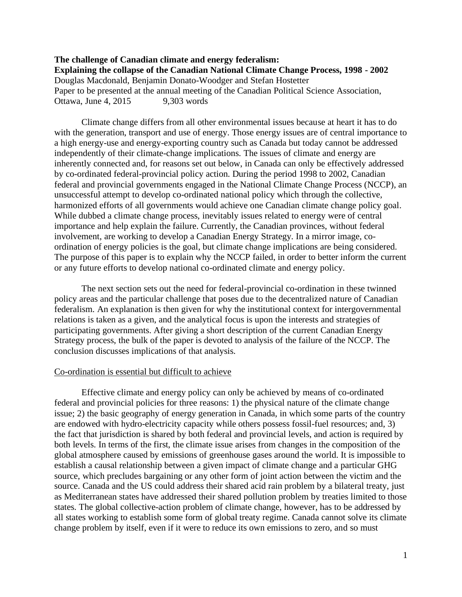# **The challenge of Canadian climate and energy federalism: Explaining the collapse of the Canadian National Climate Change Process, 1998 - 2002** Douglas Macdonald, Benjamin Donato-Woodger and Stefan Hostetter Paper to be presented at the annual meeting of the Canadian Political Science Association, Ottawa, June 4, 2015 9,303 words

Climate change differs from all other environmental issues because at heart it has to do with the generation, transport and use of energy. Those energy issues are of central importance to a high energy-use and energy-exporting country such as Canada but today cannot be addressed independently of their climate-change implications. The issues of climate and energy are inherently connected and, for reasons set out below, in Canada can only be effectively addressed by co-ordinated federal-provincial policy action. During the period 1998 to 2002, Canadian federal and provincial governments engaged in the National Climate Change Process (NCCP), an unsuccessful attempt to develop co-ordinated national policy which through the collective, harmonized efforts of all governments would achieve one Canadian climate change policy goal. While dubbed a climate change process, inevitably issues related to energy were of central importance and help explain the failure. Currently, the Canadian provinces, without federal involvement, are working to develop a Canadian Energy Strategy. In a mirror image, coordination of energy policies is the goal, but climate change implications are being considered. The purpose of this paper is to explain why the NCCP failed, in order to better inform the current or any future efforts to develop national co-ordinated climate and energy policy.

The next section sets out the need for federal-provincial co-ordination in these twinned policy areas and the particular challenge that poses due to the decentralized nature of Canadian federalism. An explanation is then given for why the institutional context for intergovernmental relations is taken as a given, and the analytical focus is upon the interests and strategies of participating governments. After giving a short description of the current Canadian Energy Strategy process, the bulk of the paper is devoted to analysis of the failure of the NCCP. The conclusion discusses implications of that analysis.

### Co-ordination is essential but difficult to achieve

Effective climate and energy policy can only be achieved by means of co-ordinated federal and provincial policies for three reasons: 1) the physical nature of the climate change issue; 2) the basic geography of energy generation in Canada, in which some parts of the country are endowed with hydro-electricity capacity while others possess fossil-fuel resources; and, 3) the fact that jurisdiction is shared by both federal and provincial levels, and action is required by both levels. In terms of the first, the climate issue arises from changes in the composition of the global atmosphere caused by emissions of greenhouse gases around the world. It is impossible to establish a causal relationship between a given impact of climate change and a particular GHG source, which precludes bargaining or any other form of joint action between the victim and the source. Canada and the US could address their shared acid rain problem by a bilateral treaty, just as Mediterranean states have addressed their shared pollution problem by treaties limited to those states. The global collective-action problem of climate change, however, has to be addressed by all states working to establish some form of global treaty regime. Canada cannot solve its climate change problem by itself, even if it were to reduce its own emissions to zero, and so must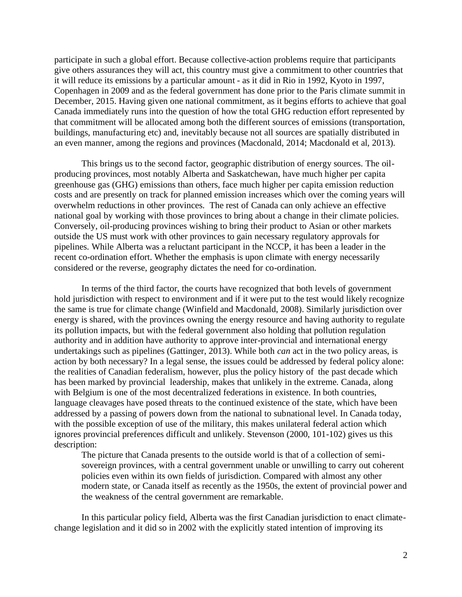participate in such a global effort. Because collective-action problems require that participants give others assurances they will act, this country must give a commitment to other countries that it will reduce its emissions by a particular amount - as it did in Rio in 1992, Kyoto in 1997, Copenhagen in 2009 and as the federal government has done prior to the Paris climate summit in December, 2015. Having given one national commitment, as it begins efforts to achieve that goal Canada immediately runs into the question of how the total GHG reduction effort represented by that commitment will be allocated among both the different sources of emissions (transportation, buildings, manufacturing etc) and, inevitably because not all sources are spatially distributed in an even manner, among the regions and provinces (Macdonald, 2014; Macdonald et al, 2013).

This brings us to the second factor, geographic distribution of energy sources. The oilproducing provinces, most notably Alberta and Saskatchewan, have much higher per capita greenhouse gas (GHG) emissions than others, face much higher per capita emission reduction costs and are presently on track for planned emission increases which over the coming years will overwhelm reductions in other provinces. The rest of Canada can only achieve an effective national goal by working with those provinces to bring about a change in their climate policies. Conversely, oil-producing provinces wishing to bring their product to Asian or other markets outside the US must work with other provinces to gain necessary regulatory approvals for pipelines. While Alberta was a reluctant participant in the NCCP, it has been a leader in the recent co-ordination effort. Whether the emphasis is upon climate with energy necessarily considered or the reverse, geography dictates the need for co-ordination.

In terms of the third factor, the courts have recognized that both levels of government hold jurisdiction with respect to environment and if it were put to the test would likely recognize the same is true for climate change (Winfield and Macdonald, 2008). Similarly jurisdiction over energy is shared, with the provinces owning the energy resource and having authority to regulate its pollution impacts, but with the federal government also holding that pollution regulation authority and in addition have authority to approve inter-provincial and international energy undertakings such as pipelines (Gattinger, 2013). While both *can* act in the two policy areas, is action by both necessary? In a legal sense, the issues could be addressed by federal policy alone: the realities of Canadian federalism, however, plus the policy history of the past decade which has been marked by provincial leadership, makes that unlikely in the extreme. Canada, along with Belgium is one of the most decentralized federations in existence. In both countries, language cleavages have posed threats to the continued existence of the state, which have been addressed by a passing of powers down from the national to subnational level. In Canada today, with the possible exception of use of the military, this makes unilateral federal action which ignores provincial preferences difficult and unlikely. Stevenson (2000, 101-102) gives us this description:

The picture that Canada presents to the outside world is that of a collection of semisovereign provinces, with a central government unable or unwilling to carry out coherent policies even within its own fields of jurisdiction. Compared with almost any other modern state, or Canada itself as recently as the 1950s, the extent of provincial power and the weakness of the central government are remarkable.

In this particular policy field, Alberta was the first Canadian jurisdiction to enact climatechange legislation and it did so in 2002 with the explicitly stated intention of improving its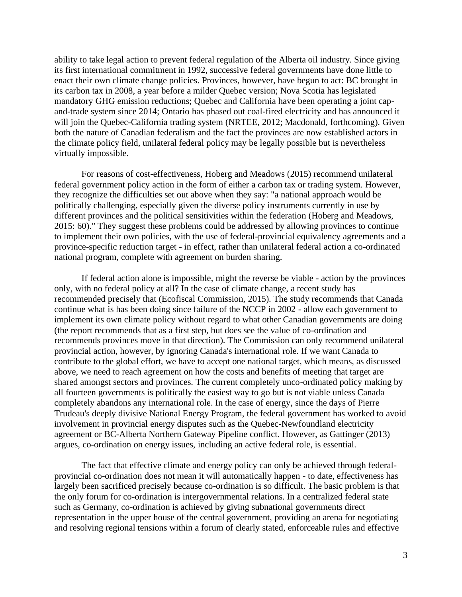ability to take legal action to prevent federal regulation of the Alberta oil industry. Since giving its first international commitment in 1992, successive federal governments have done little to enact their own climate change policies. Provinces, however, have begun to act: BC brought in its carbon tax in 2008, a year before a milder Quebec version; Nova Scotia has legislated mandatory GHG emission reductions; Quebec and California have been operating a joint capand-trade system since 2014; Ontario has phased out coal-fired electricity and has announced it will join the Quebec-California trading system (NRTEE, 2012; Macdonald, forthcoming). Given both the nature of Canadian federalism and the fact the provinces are now established actors in the climate policy field, unilateral federal policy may be legally possible but is nevertheless virtually impossible.

For reasons of cost-effectiveness, Hoberg and Meadows (2015) recommend unilateral federal government policy action in the form of either a carbon tax or trading system. However, they recognize the difficulties set out above when they say: "a national approach would be politically challenging, especially given the diverse policy instruments currently in use by different provinces and the political sensitivities within the federation (Hoberg and Meadows, 2015: 60)." They suggest these problems could be addressed by allowing provinces to continue to implement their own policies, with the use of federal-provincial equivalency agreements and a province-specific reduction target - in effect, rather than unilateral federal action a co-ordinated national program, complete with agreement on burden sharing.

If federal action alone is impossible, might the reverse be viable - action by the provinces only, with no federal policy at all? In the case of climate change, a recent study has recommended precisely that (Ecofiscal Commission, 2015). The study recommends that Canada continue what is has been doing since failure of the NCCP in 2002 - allow each government to implement its own climate policy without regard to what other Canadian governments are doing (the report recommends that as a first step, but does see the value of co-ordination and recommends provinces move in that direction). The Commission can only recommend unilateral provincial action, however, by ignoring Canada's international role. If we want Canada to contribute to the global effort, we have to accept one national target, which means, as discussed above, we need to reach agreement on how the costs and benefits of meeting that target are shared amongst sectors and provinces. The current completely unco-ordinated policy making by all fourteen governments is politically the easiest way to go but is not viable unless Canada completely abandons any international role. In the case of energy, since the days of Pierre Trudeau's deeply divisive National Energy Program, the federal government has worked to avoid involvement in provincial energy disputes such as the Quebec-Newfoundland electricity agreement or BC-Alberta Northern Gateway Pipeline conflict. However, as Gattinger (2013) argues, co-ordination on energy issues, including an active federal role, is essential.

The fact that effective climate and energy policy can only be achieved through federalprovincial co-ordination does not mean it will automatically happen - to date, effectiveness has largely been sacrificed precisely because co-ordination is so difficult. The basic problem is that the only forum for co-ordination is intergovernmental relations. In a centralized federal state such as Germany, co-ordination is achieved by giving subnational governments direct representation in the upper house of the central government, providing an arena for negotiating and resolving regional tensions within a forum of clearly stated, enforceable rules and effective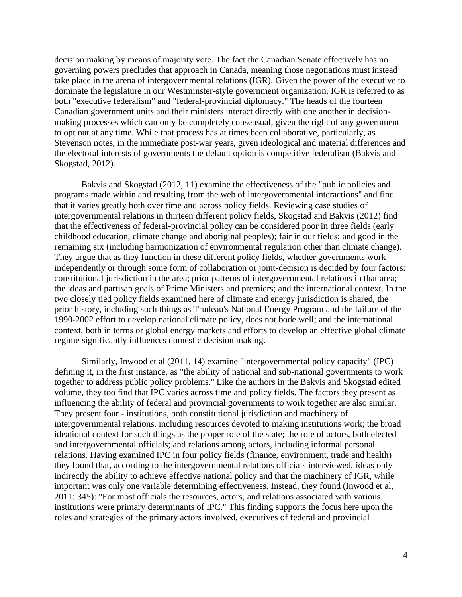decision making by means of majority vote. The fact the Canadian Senate effectively has no governing powers precludes that approach in Canada, meaning those negotiations must instead take place in the arena of intergovernmental relations (IGR). Given the power of the executive to dominate the legislature in our Westminster-style government organization, IGR is referred to as both "executive federalism" and "federal-provincial diplomacy." The heads of the fourteen Canadian government units and their ministers interact directly with one another in decisionmaking processes which can only be completely consensual, given the right of any government to opt out at any time. While that process has at times been collaborative, particularly, as Stevenson notes, in the immediate post-war years, given ideological and material differences and the electoral interests of governments the default option is competitive federalism (Bakvis and Skogstad, 2012).

Bakvis and Skogstad (2012, 11) examine the effectiveness of the "public policies and programs made within and resulting from the web of intergovernmental interactions" and find that it varies greatly both over time and across policy fields. Reviewing case studies of intergovernmental relations in thirteen different policy fields, Skogstad and Bakvis (2012) find that the effectiveness of federal-provincial policy can be considered poor in three fields (early childhood education, climate change and aboriginal peoples); fair in our fields; and good in the remaining six (including harmonization of environmental regulation other than climate change). They argue that as they function in these different policy fields, whether governments work independently or through some form of collaboration or joint-decision is decided by four factors: constitutional jurisdiction in the area; prior patterns of intergovernmental relations in that area; the ideas and partisan goals of Prime Ministers and premiers; and the international context. In the two closely tied policy fields examined here of climate and energy jurisdiction is shared, the prior history, including such things as Trudeau's National Energy Program and the failure of the 1990-2002 effort to develop national climate policy, does not bode well; and the international context, both in terms or global energy markets and efforts to develop an effective global climate regime significantly influences domestic decision making.

Similarly, Inwood et al (2011, 14) examine "intergovernmental policy capacity" (IPC) defining it, in the first instance, as "the ability of national and sub-national governments to work together to address public policy problems." Like the authors in the Bakvis and Skogstad edited volume, they too find that IPC varies across time and policy fields. The factors they present as influencing the ability of federal and provincial governments to work together are also similar. They present four - institutions, both constitutional jurisdiction and machinery of intergovernmental relations, including resources devoted to making institutions work; the broad ideational context for such things as the proper role of the state; the role of actors, both elected and intergovernmental officials; and relations among actors, including informal personal relations. Having examined IPC in four policy fields (finance, environment, trade and health) they found that, according to the intergovernmental relations officials interviewed, ideas only indirectly the ability to achieve effective national policy and that the machinery of IGR, while important was only one variable determining effectiveness. Instead, they found (Inwood et al, 2011: 345): "For most officials the resources, actors, and relations associated with various institutions were primary determinants of IPC." This finding supports the focus here upon the roles and strategies of the primary actors involved, executives of federal and provincial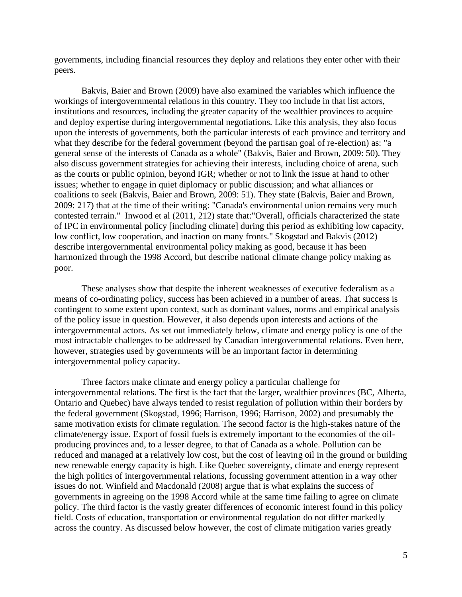governments, including financial resources they deploy and relations they enter other with their peers.

Bakvis, Baier and Brown (2009) have also examined the variables which influence the workings of intergovernmental relations in this country. They too include in that list actors, institutions and resources, including the greater capacity of the wealthier provinces to acquire and deploy expertise during intergovernmental negotiations. Like this analysis, they also focus upon the interests of governments, both the particular interests of each province and territory and what they describe for the federal government (beyond the partisan goal of re-election) as: "a general sense of the interests of Canada as a whole" (Bakvis, Baier and Brown, 2009: 50). They also discuss government strategies for achieving their interests, including choice of arena, such as the courts or public opinion, beyond IGR; whether or not to link the issue at hand to other issues; whether to engage in quiet diplomacy or public discussion; and what alliances or coalitions to seek (Bakvis, Baier and Brown, 2009: 51). They state (Bakvis, Baier and Brown, 2009: 217) that at the time of their writing: "Canada's environmental union remains very much contested terrain." Inwood et al (2011, 212) state that:"Overall, officials characterized the state of IPC in environmental policy [including climate] during this period as exhibiting low capacity, low conflict, low cooperation, and inaction on many fronts." Skogstad and Bakvis (2012) describe intergovernmental environmental policy making as good, because it has been harmonized through the 1998 Accord, but describe national climate change policy making as poor.

These analyses show that despite the inherent weaknesses of executive federalism as a means of co-ordinating policy, success has been achieved in a number of areas. That success is contingent to some extent upon context, such as dominant values, norms and empirical analysis of the policy issue in question. However, it also depends upon interests and actions of the intergovernmental actors. As set out immediately below, climate and energy policy is one of the most intractable challenges to be addressed by Canadian intergovernmental relations. Even here, however, strategies used by governments will be an important factor in determining intergovernmental policy capacity.

Three factors make climate and energy policy a particular challenge for intergovernmental relations. The first is the fact that the larger, wealthier provinces (BC, Alberta, Ontario and Quebec) have always tended to resist regulation of pollution within their borders by the federal government (Skogstad, 1996; Harrison, 1996; Harrison, 2002) and presumably the same motivation exists for climate regulation. The second factor is the high-stakes nature of the climate/energy issue. Export of fossil fuels is extremely important to the economies of the oilproducing provinces and, to a lesser degree, to that of Canada as a whole. Pollution can be reduced and managed at a relatively low cost, but the cost of leaving oil in the ground or building new renewable energy capacity is high. Like Quebec sovereignty, climate and energy represent the high politics of intergovernmental relations, focussing government attention in a way other issues do not. Winfield and Macdonald (2008) argue that is what explains the success of governments in agreeing on the 1998 Accord while at the same time failing to agree on climate policy. The third factor is the vastly greater differences of economic interest found in this policy field. Costs of education, transportation or environmental regulation do not differ markedly across the country. As discussed below however, the cost of climate mitigation varies greatly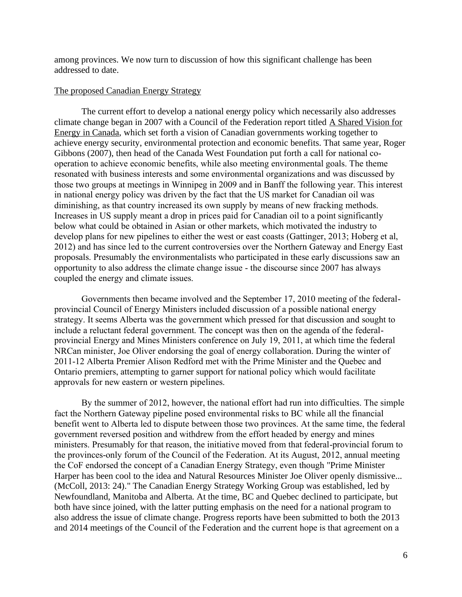among provinces. We now turn to discussion of how this significant challenge has been addressed to date.

### The proposed Canadian Energy Strategy

The current effort to develop a national energy policy which necessarily also addresses climate change began in 2007 with a Council of the Federation report titled A Shared Vision for Energy in Canada, which set forth a vision of Canadian governments working together to achieve energy security, environmental protection and economic benefits. That same year, Roger Gibbons (2007), then head of the Canada West Foundation put forth a call for national cooperation to achieve economic benefits, while also meeting environmental goals. The theme resonated with business interests and some environmental organizations and was discussed by those two groups at meetings in Winnipeg in 2009 and in Banff the following year. This interest in national energy policy was driven by the fact that the US market for Canadian oil was diminishing, as that country increased its own supply by means of new fracking methods. Increases in US supply meant a drop in prices paid for Canadian oil to a point significantly below what could be obtained in Asian or other markets, which motivated the industry to develop plans for new pipelines to either the west or east coasts (Gattinger, 2013; Hoberg et al, 2012) and has since led to the current controversies over the Northern Gateway and Energy East proposals. Presumably the environmentalists who participated in these early discussions saw an opportunity to also address the climate change issue - the discourse since 2007 has always coupled the energy and climate issues.

Governments then became involved and the September 17, 2010 meeting of the federalprovincial Council of Energy Ministers included discussion of a possible national energy strategy. It seems Alberta was the government which pressed for that discussion and sought to include a reluctant federal government. The concept was then on the agenda of the federalprovincial Energy and Mines Ministers conference on July 19, 2011, at which time the federal NRCan minister, Joe Oliver endorsing the goal of energy collaboration. During the winter of 2011-12 Alberta Premier Alison Redford met with the Prime Minister and the Quebec and Ontario premiers, attempting to garner support for national policy which would facilitate approvals for new eastern or western pipelines.

By the summer of 2012, however, the national effort had run into difficulties. The simple fact the Northern Gateway pipeline posed environmental risks to BC while all the financial benefit went to Alberta led to dispute between those two provinces. At the same time, the federal government reversed position and withdrew from the effort headed by energy and mines ministers. Presumably for that reason, the initiative moved from that federal-provincial forum to the provinces-only forum of the Council of the Federation. At its August, 2012, annual meeting the CoF endorsed the concept of a Canadian Energy Strategy, even though "Prime Minister Harper has been cool to the idea and Natural Resources Minister Joe Oliver openly dismissive... (McColl, 2013: 24)." The Canadian Energy Strategy Working Group was established, led by Newfoundland, Manitoba and Alberta. At the time, BC and Quebec declined to participate, but both have since joined, with the latter putting emphasis on the need for a national program to also address the issue of climate change. Progress reports have been submitted to both the 2013 and 2014 meetings of the Council of the Federation and the current hope is that agreement on a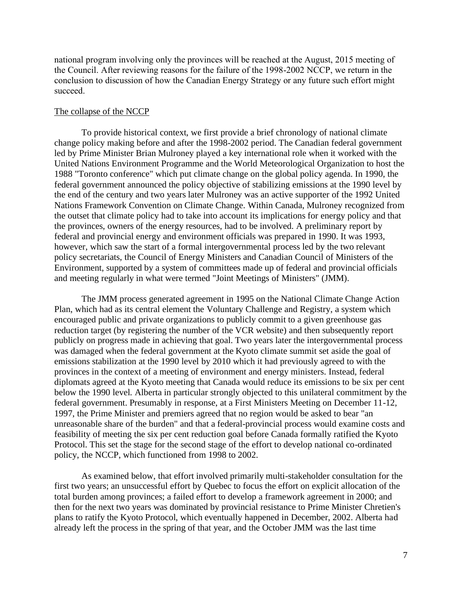national program involving only the provinces will be reached at the August, 2015 meeting of the Council. After reviewing reasons for the failure of the 1998-2002 NCCP, we return in the conclusion to discussion of how the Canadian Energy Strategy or any future such effort might succeed.

### The collapse of the NCCP

To provide historical context, we first provide a brief chronology of national climate change policy making before and after the 1998-2002 period. The Canadian federal government led by Prime Minister Brian Mulroney played a key international role when it worked with the United Nations Environment Programme and the World Meteorological Organization to host the 1988 "Toronto conference" which put climate change on the global policy agenda. In 1990, the federal government announced the policy objective of stabilizing emissions at the 1990 level by the end of the century and two years later Mulroney was an active supporter of the 1992 United Nations Framework Convention on Climate Change. Within Canada, Mulroney recognized from the outset that climate policy had to take into account its implications for energy policy and that the provinces, owners of the energy resources, had to be involved. A preliminary report by federal and provincial energy and environment officials was prepared in 1990. It was 1993, however, which saw the start of a formal intergovernmental process led by the two relevant policy secretariats, the Council of Energy Ministers and Canadian Council of Ministers of the Environment, supported by a system of committees made up of federal and provincial officials and meeting regularly in what were termed "Joint Meetings of Ministers" (JMM).

The JMM process generated agreement in 1995 on the National Climate Change Action Plan, which had as its central element the Voluntary Challenge and Registry, a system which encouraged public and private organizations to publicly commit to a given greenhouse gas reduction target (by registering the number of the VCR website) and then subsequently report publicly on progress made in achieving that goal. Two years later the intergovernmental process was damaged when the federal government at the Kyoto climate summit set aside the goal of emissions stabilization at the 1990 level by 2010 which it had previously agreed to with the provinces in the context of a meeting of environment and energy ministers. Instead, federal diplomats agreed at the Kyoto meeting that Canada would reduce its emissions to be six per cent below the 1990 level. Alberta in particular strongly objected to this unilateral commitment by the federal government. Presumably in response, at a First Ministers Meeting on December 11-12, 1997, the Prime Minister and premiers agreed that no region would be asked to bear "an unreasonable share of the burden" and that a federal-provincial process would examine costs and feasibility of meeting the six per cent reduction goal before Canada formally ratified the Kyoto Protocol. This set the stage for the second stage of the effort to develop national co-ordinated policy, the NCCP, which functioned from 1998 to 2002.

As examined below, that effort involved primarily multi-stakeholder consultation for the first two years; an unsuccessful effort by Quebec to focus the effort on explicit allocation of the total burden among provinces; a failed effort to develop a framework agreement in 2000; and then for the next two years was dominated by provincial resistance to Prime Minister Chretien's plans to ratify the Kyoto Protocol, which eventually happened in December, 2002. Alberta had already left the process in the spring of that year, and the October JMM was the last time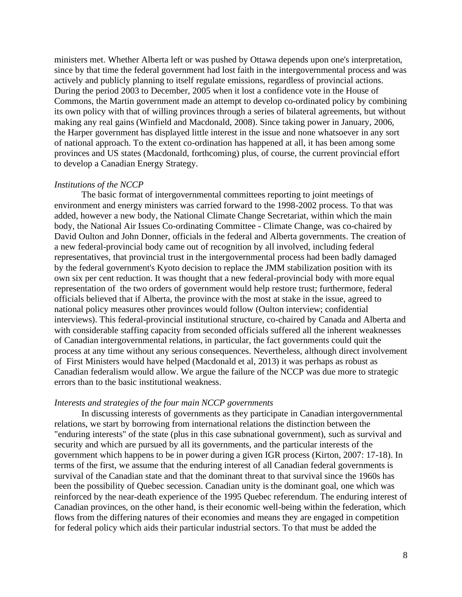ministers met. Whether Alberta left or was pushed by Ottawa depends upon one's interpretation, since by that time the federal government had lost faith in the intergovernmental process and was actively and publicly planning to itself regulate emissions, regardless of provincial actions. During the period 2003 to December, 2005 when it lost a confidence vote in the House of Commons, the Martin government made an attempt to develop co-ordinated policy by combining its own policy with that of willing provinces through a series of bilateral agreements, but without making any real gains (Winfield and Macdonald, 2008). Since taking power in January, 2006, the Harper government has displayed little interest in the issue and none whatsoever in any sort of national approach. To the extent co-ordination has happened at all, it has been among some provinces and US states (Macdonald, forthcoming) plus, of course, the current provincial effort to develop a Canadian Energy Strategy.

### *Institutions of the NCCP*

The basic format of intergovernmental committees reporting to joint meetings of environment and energy ministers was carried forward to the 1998-2002 process. To that was added, however a new body, the National Climate Change Secretariat, within which the main body, the National Air Issues Co-ordinating Committee - Climate Change, was co-chaired by David Oulton and John Donner, officials in the federal and Alberta governments. The creation of a new federal-provincial body came out of recognition by all involved, including federal representatives, that provincial trust in the intergovernmental process had been badly damaged by the federal government's Kyoto decision to replace the JMM stabilization position with its own six per cent reduction. It was thought that a new federal-provincial body with more equal representation of the two orders of government would help restore trust; furthermore, federal officials believed that if Alberta, the province with the most at stake in the issue, agreed to national policy measures other provinces would follow (Oulton interview; confidential interviews). This federal-provincial institutional structure, co-chaired by Canada and Alberta and with considerable staffing capacity from seconded officials suffered all the inherent weaknesses of Canadian intergovernmental relations, in particular, the fact governments could quit the process at any time without any serious consequences. Nevertheless, although direct involvement of First Ministers would have helped (Macdonald et al, 2013) it was perhaps as robust as Canadian federalism would allow. We argue the failure of the NCCP was due more to strategic errors than to the basic institutional weakness.

## *Interests and strategies of the four main NCCP governments*

In discussing interests of governments as they participate in Canadian intergovernmental relations, we start by borrowing from international relations the distinction between the "enduring interests" of the state (plus in this case subnational government), such as survival and security and which are pursued by all its governments, and the particular interests of the government which happens to be in power during a given IGR process (Kirton, 2007: 17-18). In terms of the first, we assume that the enduring interest of all Canadian federal governments is survival of the Canadian state and that the dominant threat to that survival since the 1960s has been the possibility of Quebec secession. Canadian unity is the dominant goal, one which was reinforced by the near-death experience of the 1995 Quebec referendum. The enduring interest of Canadian provinces, on the other hand, is their economic well-being within the federation, which flows from the differing natures of their economies and means they are engaged in competition for federal policy which aids their particular industrial sectors. To that must be added the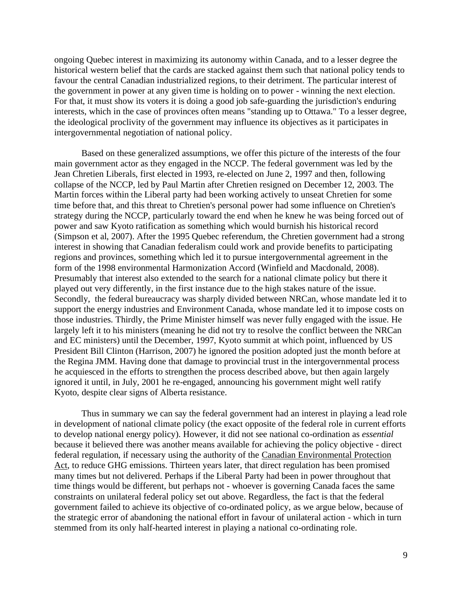ongoing Quebec interest in maximizing its autonomy within Canada, and to a lesser degree the historical western belief that the cards are stacked against them such that national policy tends to favour the central Canadian industrialized regions, to their detriment. The particular interest of the government in power at any given time is holding on to power - winning the next election. For that, it must show its voters it is doing a good job safe-guarding the jurisdiction's enduring interests, which in the case of provinces often means "standing up to Ottawa." To a lesser degree, the ideological proclivity of the government may influence its objectives as it participates in intergovernmental negotiation of national policy.

Based on these generalized assumptions, we offer this picture of the interests of the four main government actor as they engaged in the NCCP. The federal government was led by the Jean Chretien Liberals, first elected in 1993, re-elected on June 2, 1997 and then, following collapse of the NCCP, led by Paul Martin after Chretien resigned on December 12, 2003. The Martin forces within the Liberal party had been working actively to unseat Chretien for some time before that, and this threat to Chretien's personal power had some influence on Chretien's strategy during the NCCP, particularly toward the end when he knew he was being forced out of power and saw Kyoto ratification as something which would burnish his historical record (Simpson et al, 2007). After the 1995 Quebec referendum, the Chretien government had a strong interest in showing that Canadian federalism could work and provide benefits to participating regions and provinces, something which led it to pursue intergovernmental agreement in the form of the 1998 environmental Harmonization Accord (Winfield and Macdonald, 2008). Presumably that interest also extended to the search for a national climate policy but there it played out very differently, in the first instance due to the high stakes nature of the issue. Secondly, the federal bureaucracy was sharply divided between NRCan, whose mandate led it to support the energy industries and Environment Canada, whose mandate led it to impose costs on those industries. Thirdly, the Prime Minister himself was never fully engaged with the issue. He largely left it to his ministers (meaning he did not try to resolve the conflict between the NRCan and EC ministers) until the December, 1997, Kyoto summit at which point, influenced by US President Bill Clinton (Harrison, 2007) he ignored the position adopted just the month before at the Regina JMM. Having done that damage to provincial trust in the intergovernmental process he acquiesced in the efforts to strengthen the process described above, but then again largely ignored it until, in July, 2001 he re-engaged, announcing his government might well ratify Kyoto, despite clear signs of Alberta resistance.

Thus in summary we can say the federal government had an interest in playing a lead role in development of national climate policy (the exact opposite of the federal role in current efforts to develop national energy policy). However, it did not see national co-ordination as *essential* because it believed there was another means available for achieving the policy objective - direct federal regulation, if necessary using the authority of the Canadian Environmental Protection Act, to reduce GHG emissions. Thirteen years later, that direct regulation has been promised many times but not delivered. Perhaps if the Liberal Party had been in power throughout that time things would be different, but perhaps not - whoever is governing Canada faces the same constraints on unilateral federal policy set out above. Regardless, the fact is that the federal government failed to achieve its objective of co-ordinated policy, as we argue below, because of the strategic error of abandoning the national effort in favour of unilateral action - which in turn stemmed from its only half-hearted interest in playing a national co-ordinating role.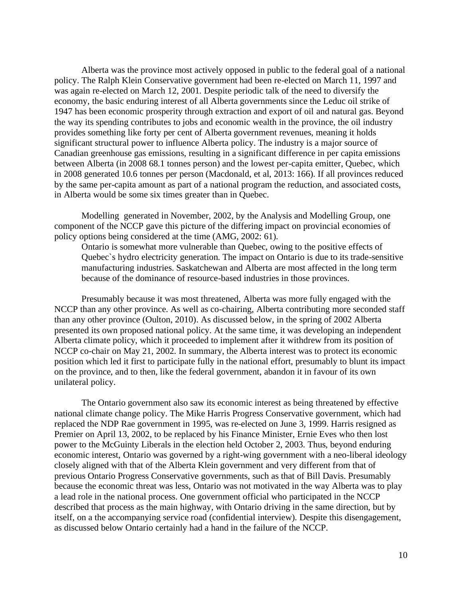Alberta was the province most actively opposed in public to the federal goal of a national policy. The Ralph Klein Conservative government had been re-elected on March 11, 1997 and was again re-elected on March 12, 2001. Despite periodic talk of the need to diversify the economy, the basic enduring interest of all Alberta governments since the Leduc oil strike of 1947 has been economic prosperity through extraction and export of oil and natural gas. Beyond the way its spending contributes to jobs and economic wealth in the province, the oil industry provides something like forty per cent of Alberta government revenues, meaning it holds significant structural power to influence Alberta policy. The industry is a major source of Canadian greenhouse gas emissions, resulting in a significant difference in per capita emissions between Alberta (in 2008 68.1 tonnes person) and the lowest per-capita emitter, Quebec, which in 2008 generated 10.6 tonnes per person (Macdonald, et al, 2013: 166). If all provinces reduced by the same per-capita amount as part of a national program the reduction, and associated costs, in Alberta would be some six times greater than in Quebec.

Modelling generated in November, 2002, by the Analysis and Modelling Group, one component of the NCCP gave this picture of the differing impact on provincial economies of policy options being considered at the time (AMG, 2002: 61).

Ontario is somewhat more vulnerable than Quebec, owing to the positive effects of Quebec`s hydro electricity generation. The impact on Ontario is due to its trade-sensitive manufacturing industries. Saskatchewan and Alberta are most affected in the long term because of the dominance of resource-based industries in those provinces.

Presumably because it was most threatened, Alberta was more fully engaged with the NCCP than any other province. As well as co-chairing, Alberta contributing more seconded staff than any other province (Oulton, 2010). As discussed below, in the spring of 2002 Alberta presented its own proposed national policy. At the same time, it was developing an independent Alberta climate policy, which it proceeded to implement after it withdrew from its position of NCCP co-chair on May 21, 2002. In summary, the Alberta interest was to protect its economic position which led it first to participate fully in the national effort, presumably to blunt its impact on the province, and to then, like the federal government, abandon it in favour of its own unilateral policy.

The Ontario government also saw its economic interest as being threatened by effective national climate change policy. The Mike Harris Progress Conservative government, which had replaced the NDP Rae government in 1995, was re-elected on June 3, 1999. Harris resigned as Premier on April 13, 2002, to be replaced by his Finance Minister, Ernie Eves who then lost power to the McGuinty Liberals in the election held October 2, 2003. Thus, beyond enduring economic interest, Ontario was governed by a right-wing government with a neo-liberal ideology closely aligned with that of the Alberta Klein government and very different from that of previous Ontario Progress Conservative governments, such as that of Bill Davis. Presumably because the economic threat was less, Ontario was not motivated in the way Alberta was to play a lead role in the national process. One government official who participated in the NCCP described that process as the main highway, with Ontario driving in the same direction, but by itself, on a the accompanying service road (confidential interview). Despite this disengagement, as discussed below Ontario certainly had a hand in the failure of the NCCP.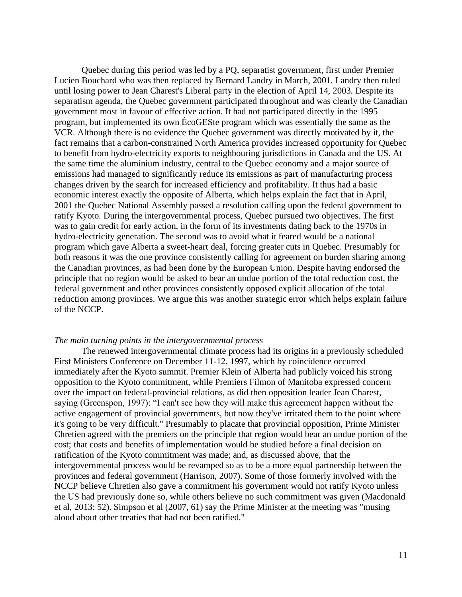Quebec during this period was led by a PQ, separatist government, first under Premier Lucien Bouchard who was then replaced by Bernard Landry in March, 2001. Landry then ruled until losing power to Jean Charest's Liberal party in the election of April 14, 2003. Despite its separatism agenda, the Quebec government participated throughout and was clearly the Canadian government most in favour of effective action. It had not participated directly in the 1995 program, but implemented its own ÉcoGESte program which was essentially the same as the VCR. Although there is no evidence the Quebec government was directly motivated by it, the fact remains that a carbon-constrained North America provides increased opportunity for Quebec to benefit from hydro-electricity exports to neighbouring jurisdictions in Canada and the US. At the same time the aluminium industry, central to the Quebec economy and a major source of emissions had managed to significantly reduce its emissions as part of manufacturing process changes driven by the search for increased efficiency and profitability. It thus had a basic economic interest exactly the opposite of Alberta, which helps explain the fact that in April, 2001 the Quebec National Assembly passed a resolution calling upon the federal government to ratify Kyoto. During the intergovernmental process, Quebec pursued two objectives. The first was to gain credit for early action, in the form of its investments dating back to the 1970s in hydro-electricity generation. The second was to avoid what it feared would be a national program which gave Alberta a sweet-heart deal, forcing greater cuts in Quebec. Presumably for both reasons it was the one province consistently calling for agreement on burden sharing among the Canadian provinces, as had been done by the European Union. Despite having endorsed the principle that no region would be asked to bear an undue portion of the total reduction cost, the federal government and other provinces consistently opposed explicit allocation of the total reduction among provinces. We argue this was another strategic error which helps explain failure of the NCCP.

#### *The main turning points in the intergovernmental process*

The renewed intergovernmental climate process had its origins in a previously scheduled First Ministers Conference on December 11-12, 1997, which by coincidence occurred immediately after the Kyoto summit. Premier Klein of Alberta had publicly voiced his strong opposition to the Kyoto commitment, while Premiers Filmon of Manitoba expressed concern over the impact on federal-provincial relations, as did then opposition leader Jean Charest, saying (Greenspon, 1997): "I can't see how they will make this agreement happen without the active engagement of provincial governments, but now they've irritated them to the point where it's going to be very difficult." Presumably to placate that provincial opposition, Prime Minister Chretien agreed with the premiers on the principle that region would bear an undue portion of the cost; that costs and benefits of implementation would be studied before a final decision on ratification of the Kyoto commitment was made; and, as discussed above, that the intergovernmental process would be revamped so as to be a more equal partnership between the provinces and federal government (Harrison, 2007). Some of those formerly involved with the NCCP believe Chretien also gave a commitment his government would not ratify Kyoto unless the US had previously done so, while others believe no such commitment was given (Macdonald et al, 2013: 52). Simpson et al (2007, 61) say the Prime Minister at the meeting was "musing aloud about other treaties that had not been ratified."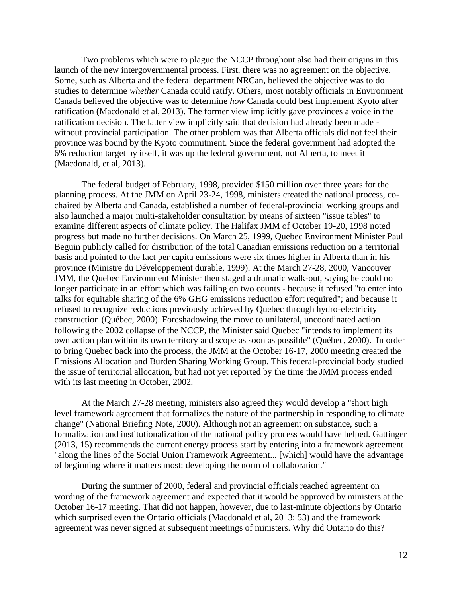Two problems which were to plague the NCCP throughout also had their origins in this launch of the new intergovernmental process. First, there was no agreement on the objective. Some, such as Alberta and the federal department NRCan, believed the objective was to do studies to determine *whether* Canada could ratify. Others, most notably officials in Environment Canada believed the objective was to determine *how* Canada could best implement Kyoto after ratification (Macdonald et al, 2013). The former view implicitly gave provinces a voice in the ratification decision. The latter view implicitly said that decision had already been made without provincial participation. The other problem was that Alberta officials did not feel their province was bound by the Kyoto commitment. Since the federal government had adopted the 6% reduction target by itself, it was up the federal government, not Alberta, to meet it (Macdonald, et al, 2013).

The federal budget of February, 1998, provided \$150 million over three years for the planning process. At the JMM on April 23-24, 1998, ministers created the national process, cochaired by Alberta and Canada, established a number of federal-provincial working groups and also launched a major multi-stakeholder consultation by means of sixteen "issue tables" to examine different aspects of climate policy. The Halifax JMM of October 19-20, 1998 noted progress but made no further decisions. On March 25, 1999, Quebec Environment Minister Paul Beguin publicly called for distribution of the total Canadian emissions reduction on a territorial basis and pointed to the fact per capita emissions were six times higher in Alberta than in his province (Ministre du Développement durable, 1999). At the March 27-28, 2000, Vancouver JMM, the Quebec Environment Minister then staged a dramatic walk-out, saying he could no longer participate in an effort which was failing on two counts - because it refused "to enter into talks for equitable sharing of the 6% GHG emissions reduction effort required"; and because it refused to recognize reductions previously achieved by Quebec through hydro-electricity construction (Québec, 2000). Foreshadowing the move to unilateral, uncoordinated action following the 2002 collapse of the NCCP, the Minister said Quebec "intends to implement its own action plan within its own territory and scope as soon as possible" (Québec, 2000). In order to bring Quebec back into the process, the JMM at the October 16-17, 2000 meeting created the Emissions Allocation and Burden Sharing Working Group. This federal-provincial body studied the issue of territorial allocation, but had not yet reported by the time the JMM process ended with its last meeting in October, 2002.

At the March 27-28 meeting, ministers also agreed they would develop a "short high level framework agreement that formalizes the nature of the partnership in responding to climate change" (National Briefing Note, 2000). Although not an agreement on substance, such a formalization and institutionalization of the national policy process would have helped. Gattinger (2013, 15) recommends the current energy process start by entering into a framework agreement "along the lines of the Social Union Framework Agreement... [which] would have the advantage of beginning where it matters most: developing the norm of collaboration."

During the summer of 2000, federal and provincial officials reached agreement on wording of the framework agreement and expected that it would be approved by ministers at the October 16-17 meeting. That did not happen, however, due to last-minute objections by Ontario which surprised even the Ontario officials (Macdonald et al, 2013: 53) and the framework agreement was never signed at subsequent meetings of ministers. Why did Ontario do this?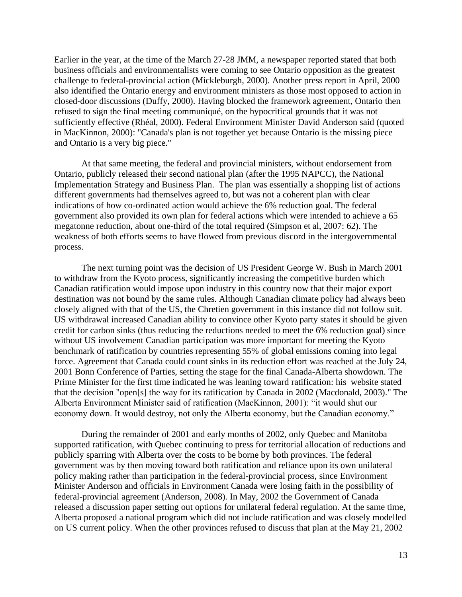Earlier in the year, at the time of the March 27-28 JMM, a newspaper reported stated that both business officials and environmentalists were coming to see Ontario opposition as the greatest challenge to federal-provincial action (Mickleburgh, 2000). Another press report in April, 2000 also identified the Ontario energy and environment ministers as those most opposed to action in closed-door discussions (Duffy, 2000). Having blocked the framework agreement, Ontario then refused to sign the final meeting communiqué, on the hypocritical grounds that it was not sufficiently effective (Rhéal, 2000). Federal Environment Minister David Anderson said (quoted in MacKinnon, 2000): "Canada's plan is not together yet because Ontario is the missing piece and Ontario is a very big piece."

At that same meeting, the federal and provincial ministers, without endorsement from Ontario, publicly released their second national plan (after the 1995 NAPCC), the National Implementation Strategy and Business Plan. The plan was essentially a shopping list of actions different governments had themselves agreed to, but was not a coherent plan with clear indications of how co-ordinated action would achieve the 6% reduction goal. The federal government also provided its own plan for federal actions which were intended to achieve a 65 megatonne reduction, about one-third of the total required (Simpson et al, 2007: 62). The weakness of both efforts seems to have flowed from previous discord in the intergovernmental process.

The next turning point was the decision of US President George W. Bush in March 2001 to withdraw from the Kyoto process, significantly increasing the competitive burden which Canadian ratification would impose upon industry in this country now that their major export destination was not bound by the same rules. Although Canadian climate policy had always been closely aligned with that of the US, the Chretien government in this instance did not follow suit. US withdrawal increased Canadian ability to convince other Kyoto party states it should be given credit for carbon sinks (thus reducing the reductions needed to meet the 6% reduction goal) since without US involvement Canadian participation was more important for meeting the Kyoto benchmark of ratification by countries representing 55% of global emissions coming into legal force. Agreement that Canada could count sinks in its reduction effort was reached at the July 24, 2001 Bonn Conference of Parties, setting the stage for the final Canada-Alberta showdown. The Prime Minister for the first time indicated he was leaning toward ratification: his website stated that the decision "open[s] the way for its ratification by Canada in 2002 (Macdonald, 2003)." The Alberta Environment Minister said of ratification (MacKinnon, 2001): "it would shut our economy down. It would destroy, not only the Alberta economy, but the Canadian economy."

During the remainder of 2001 and early months of 2002, only Quebec and Manitoba supported ratification, with Quebec continuing to press for territorial allocation of reductions and publicly sparring with Alberta over the costs to be borne by both provinces. The federal government was by then moving toward both ratification and reliance upon its own unilateral policy making rather than participation in the federal-provincial process, since Environment Minister Anderson and officials in Environment Canada were losing faith in the possibility of federal-provincial agreement (Anderson, 2008). In May, 2002 the Government of Canada released a discussion paper setting out options for unilateral federal regulation. At the same time, Alberta proposed a national program which did not include ratification and was closely modelled on US current policy. When the other provinces refused to discuss that plan at the May 21, 2002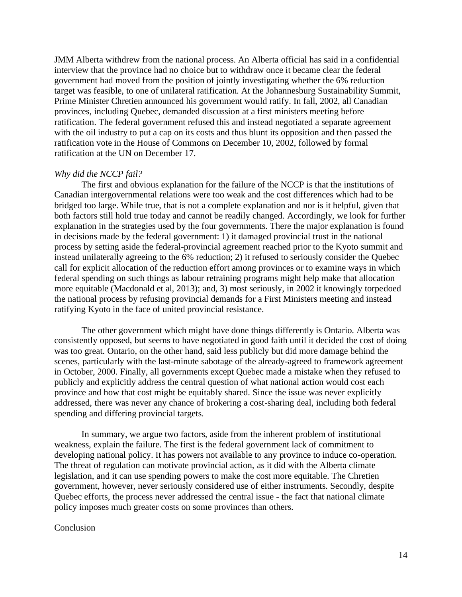JMM Alberta withdrew from the national process. An Alberta official has said in a confidential interview that the province had no choice but to withdraw once it became clear the federal government had moved from the position of jointly investigating whether the 6% reduction target was feasible, to one of unilateral ratification. At the Johannesburg Sustainability Summit, Prime Minister Chretien announced his government would ratify. In fall, 2002, all Canadian provinces, including Quebec, demanded discussion at a first ministers meeting before ratification. The federal government refused this and instead negotiated a separate agreement with the oil industry to put a cap on its costs and thus blunt its opposition and then passed the ratification vote in the House of Commons on December 10, 2002, followed by formal ratification at the UN on December 17.

### *Why did the NCCP fail?*

The first and obvious explanation for the failure of the NCCP is that the institutions of Canadian intergovernmental relations were too weak and the cost differences which had to be bridged too large. While true, that is not a complete explanation and nor is it helpful, given that both factors still hold true today and cannot be readily changed. Accordingly, we look for further explanation in the strategies used by the four governments. There the major explanation is found in decisions made by the federal government: 1) it damaged provincial trust in the national process by setting aside the federal-provincial agreement reached prior to the Kyoto summit and instead unilaterally agreeing to the 6% reduction; 2) it refused to seriously consider the Quebec call for explicit allocation of the reduction effort among provinces or to examine ways in which federal spending on such things as labour retraining programs might help make that allocation more equitable (Macdonald et al, 2013); and, 3) most seriously, in 2002 it knowingly torpedoed the national process by refusing provincial demands for a First Ministers meeting and instead ratifying Kyoto in the face of united provincial resistance.

The other government which might have done things differently is Ontario. Alberta was consistently opposed, but seems to have negotiated in good faith until it decided the cost of doing was too great. Ontario, on the other hand, said less publicly but did more damage behind the scenes, particularly with the last-minute sabotage of the already-agreed to framework agreement in October, 2000. Finally, all governments except Quebec made a mistake when they refused to publicly and explicitly address the central question of what national action would cost each province and how that cost might be equitably shared. Since the issue was never explicitly addressed, there was never any chance of brokering a cost-sharing deal, including both federal spending and differing provincial targets.

In summary, we argue two factors, aside from the inherent problem of institutional weakness, explain the failure. The first is the federal government lack of commitment to developing national policy. It has powers not available to any province to induce co-operation. The threat of regulation can motivate provincial action, as it did with the Alberta climate legislation, and it can use spending powers to make the cost more equitable. The Chretien government, however, never seriously considered use of either instruments. Secondly, despite Quebec efforts, the process never addressed the central issue - the fact that national climate policy imposes much greater costs on some provinces than others.

### Conclusion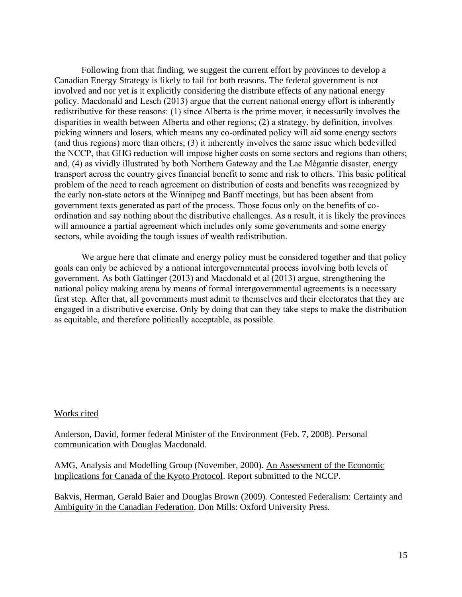Following from that finding, we suggest the current effort by provinces to develop a Canadian Energy Strategy is likely to fail for both reasons. The federal government is not involved and nor yet is it explicitly considering the distribute effects of any national energy policy. Macdonald and Lesch (2013) argue that the current national energy effort is inherently redistributive for these reasons: (1) since Alberta is the prime mover, it necessarily involves the disparities in wealth between Alberta and other regions; (2) a strategy, by definition, involves picking winners and losers, which means any co-ordinated policy will aid some energy sectors (and thus regions) more than others; (3) it inherently involves the same issue which bedevilled the NCCP, that GHG reduction will impose higher costs on some sectors and regions than others; and, (4) as vividly illustrated by both Northern Gateway and the Lac Mégantic disaster, energy transport across the country gives financial benefit to some and risk to others. This basic political problem of the need to reach agreement on distribution of costs and benefits was recognized by the early non-state actors at the Winnipeg and Banff meetings, but has been absent from government texts generated as part of the process. Those focus only on the benefits of coordination and say nothing about the distributive challenges. As a result, it is likely the provinces will announce a partial agreement which includes only some governments and some energy sectors, while avoiding the tough issues of wealth redistribution.

We argue here that climate and energy policy must be considered together and that policy goals can only be achieved by a national intergovernmental process involving both levels of government. As both Gattinger (2013) and Macdonald et al (2013) argue, strengthening the national policy making arena by means of formal intergovernmental agreements is a necessary first step. After that, all governments must admit to themselves and their electorates that they are engaged in a distributive exercise. Only by doing that can they take steps to make the distribution as equitable, and therefore politically acceptable, as possible.

# Works cited

Anderson, David, former federal Minister of the Environment (Feb. 7, 2008). Personal communication with Douglas Macdonald.

AMG, Analysis and Modelling Group (November, 2000). An Assessment of the Economic Implications for Canada of the Kyoto Protocol. Report submitted to the NCCP.

Bakvis, Herman, Gerald Baier and Douglas Brown (2009). Contested Federalism: Certainty and Ambiguity in the Canadian Federation. Don Mills: Oxford University Press.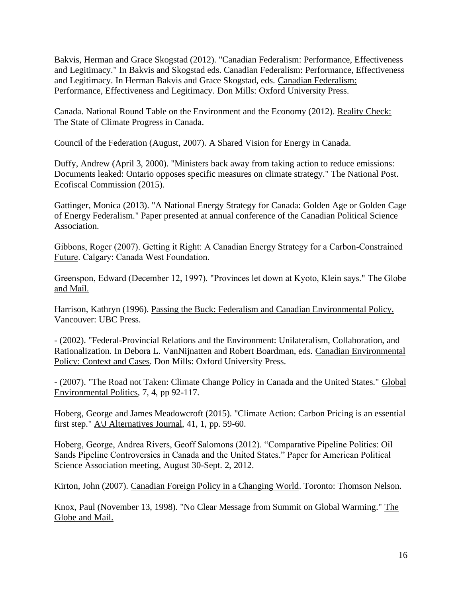Bakvis, Herman and Grace Skogstad (2012). "Canadian Federalism: Performance, Effectiveness and Legitimacy." In Bakvis and Skogstad eds. Canadian Federalism: Performance, Effectiveness and Legitimacy. In Herman Bakvis and Grace Skogstad, eds. Canadian Federalism: Performance, Effectiveness and Legitimacy. Don Mills: Oxford University Press.

Canada. National Round Table on the Environment and the Economy (2012). Reality Check: The State of Climate Progress in Canada.

Council of the Federation (August, 2007). A Shared Vision for Energy in Canada.

Duffy, Andrew (April 3, 2000). "Ministers back away from taking action to reduce emissions: Documents leaked: Ontario opposes specific measures on climate strategy." The National Post. Ecofiscal Commission (2015).

Gattinger, Monica (2013). "A National Energy Strategy for Canada: Golden Age or Golden Cage of Energy Federalism." Paper presented at annual conference of the Canadian Political Science Association.

Gibbons, Roger (2007). Getting it Right: A Canadian Energy Strategy for a Carbon-Constrained Future. Calgary: Canada West Foundation.

Greenspon, Edward (December 12, 1997). "Provinces let down at Kyoto, Klein says." The Globe and Mail.

Harrison, Kathryn (1996). Passing the Buck: Federalism and Canadian Environmental Policy. Vancouver: UBC Press.

- (2002). "Federal-Provincial Relations and the Environment: Unilateralism, Collaboration, and Rationalization. In Debora L. VanNijnatten and Robert Boardman, eds. Canadian Environmental Policy: Context and Cases. Don Mills: Oxford University Press.

- (2007). "The Road not Taken: Climate Change Policy in Canada and the United States." Global Environmental Politics, 7, 4, pp 92-117.

Hoberg, George and James Meadowcroft (2015). "Climate Action: Carbon Pricing is an essential first step." A\J Alternatives Journal, 41, 1, pp. 59-60.

Hoberg, George, Andrea Rivers, Geoff Salomons (2012). "Comparative Pipeline Politics: Oil Sands Pipeline Controversies in Canada and the United States." Paper for American Political Science Association meeting, August 30-Sept. 2, 2012.

Kirton, John (2007). Canadian Foreign Policy in a Changing World. Toronto: Thomson Nelson.

Knox, Paul (November 13, 1998). "No Clear Message from Summit on Global Warming." The Globe and Mail.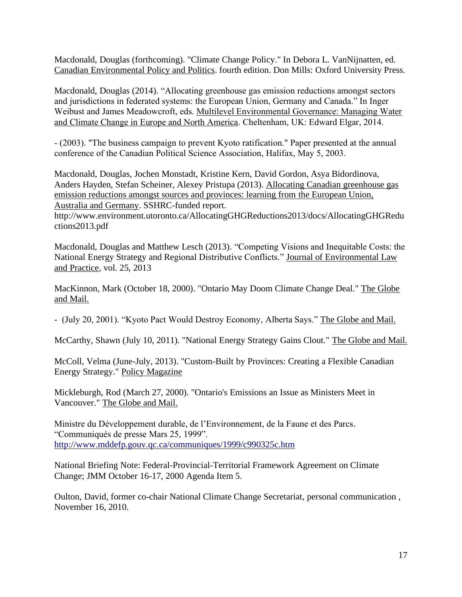Macdonald, Douglas (forthcoming). "Climate Change Policy." In Debora L. VanNijnatten, ed. Canadian Environmental Policy and Politics. fourth edition. Don Mills: Oxford University Press.

Macdonald, Douglas (2014). "Allocating greenhouse gas emission reductions amongst sectors and jurisdictions in federated systems: the European Union, Germany and Canada." In Inger Weibust and James Meadowcroft, eds. Multilevel Environmental Governance: Managing Water and Climate Change in Europe and North America. Cheltenham, UK: Edward Elgar, 2014.

- (2003). "The business campaign to prevent Kyoto ratification." Paper presented at the annual conference of the Canadian Political Science Association, Halifax, May 5, 2003.

Macdonald, Douglas, Jochen Monstadt, Kristine Kern, David Gordon, Asya Bidordinova, Anders Hayden, Stefan Scheiner, Alexey Pristupa (2013). Allocating Canadian greenhouse gas emission reductions amongst sources and provinces: learning from the European Union, Australia and Germany. SSHRC-funded report.

http://www.environment.utoronto.ca/AllocatingGHGReductions2013/docs/AllocatingGHGRedu ctions2013.pdf

Macdonald, Douglas and Matthew Lesch (2013). "Competing Visions and Inequitable Costs: the National Energy Strategy and Regional Distributive Conflicts." Journal of Environmental Law and Practice, vol. 25, 2013

MacKinnon, Mark (October 18, 2000). "Ontario May Doom Climate Change Deal." The Globe and Mail.

- (July 20, 2001). "Kyoto Pact Would Destroy Economy, Alberta Says." The Globe and Mail.

McCarthy, Shawn (July 10, 2011). "National Energy Strategy Gains Clout." The Globe and Mail.

McColl, Velma (June-July, 2013). "Custom-Built by Provinces: Creating a Flexible Canadian Energy Strategy." Policy Magazine

Mickleburgh, Rod (March 27, 2000). "Ontario's Emissions an Issue as Ministers Meet in Vancouver." The Globe and Mail.

Ministre du Développement durable, de l'Environnement, de la Faune et des Parcs. "Communiqués de presse Mars 25, 1999". <http://www.mddefp.gouv.qc.ca/communiques/1999/c990325c.htm>

National Briefing Note: Federal-Provincial-Territorial Framework Agreement on Climate Change; JMM October 16-17, 2000 Agenda Item 5.

Oulton, David, former co-chair National Climate Change Secretariat, personal communication , November 16, 2010.